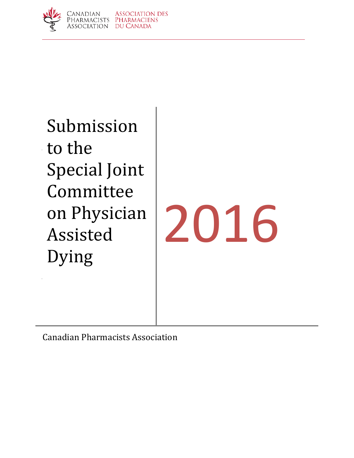

Submission Submission to the to the Special joi **COMMITTELY** Assisted Dying Special Joint Committee on Physician

to Carter v.

# 2016

Canadian Pharmacists Association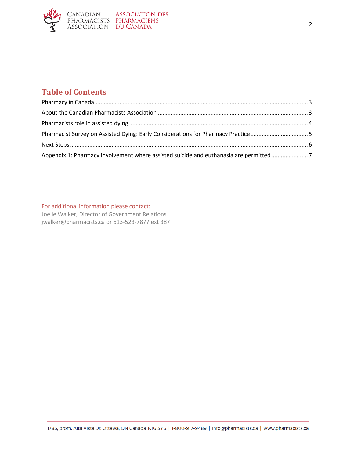

# **Table of Contents**

| Pharmacist Survey on Assisted Dying: Early Considerations for Pharmacy Practice5      |  |
|---------------------------------------------------------------------------------------|--|
|                                                                                       |  |
| Appendix 1: Pharmacy involvement where assisted suicide and euthanasia are permitted7 |  |

For additional information please contact:

Joelle Walker, Director of Government Relations [jwalker@pharmacists.ca](mailto:jwalker@pharmacists.ca) or 613-523-7877 ext 387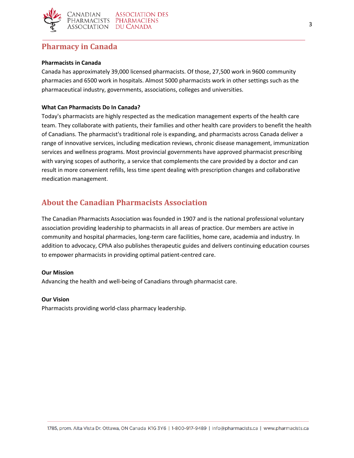

## <span id="page-2-0"></span>**Pharmacy in Canada**

#### **Pharmacists in Canada**

Canada has approximately 39,000 licensed pharmacists. Of those, 27,500 work in 9600 community pharmacies and 6500 work in hospitals. Almost 5000 pharmacists work in other settings such as the pharmaceutical industry, governments, associations, colleges and universities.

## **What Can Pharmacists Do In Canada?**

Today's pharmacists are highly respected as the medication management experts of the health care team. They collaborate with patients, their families and other health care providers to benefit the health of Canadians. The pharmacist's traditional role is expanding, and pharmacists across Canada deliver a range of innovative services, including medication reviews, chronic disease management, immunization services and wellness programs. Most provincial governments have approved pharmacist prescribing with varying scopes of authority, a service that complements the care provided by a doctor and can result in more convenient refills, less time spent dealing with prescription changes and collaborative medication management.

## <span id="page-2-1"></span>**About the Canadian Pharmacists Association**

The Canadian Pharmacists Association was founded in 1907 and is the national professional voluntary association providing leadership to pharmacists in all areas of practice. Our members are active in community and hospital pharmacies, long-term care facilities, home care, academia and industry. In addition to advocacy, CPhA also publishes therapeutic guides and delivers continuing education courses to empower pharmacists in providing optimal patient-centred care.

## **Our Mission**

Advancing the health and well-being of Canadians through pharmacist care.

#### **Our Vision**

Pharmacists providing world-class pharmacy leadership.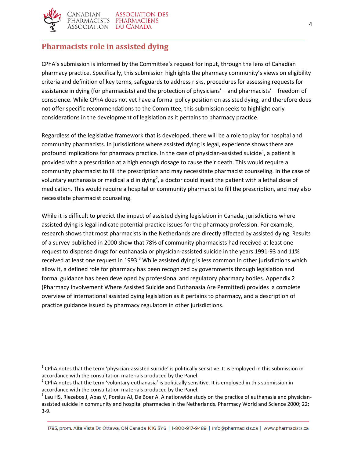

 $\overline{\phantom{a}}$ 

# <span id="page-3-0"></span>**Pharmacists role in assisted dying**

CPhA's submission is informed by the Committee's request for input, through the lens of Canadian pharmacy practice. Specifically, this submission highlights the pharmacy community's views on eligibility criteria and definition of key terms, safeguards to address risks, procedures for assessing requests for assistance in dying (for pharmacists) and the protection of physicians' – and pharmacists' – freedom of conscience. While CPhA does not yet have a formal policy position on assisted dying, and therefore does not offer specific recommendations to the Committee, this submission seeks to highlight early considerations in the development of legislation as it pertains to pharmacy practice.

Regardless of the legislative framework that is developed, there will be a role to play for hospital and community pharmacists. In jurisdictions where assisted dying is legal, experience shows there are profound implications for pharmacy practice. In the case of physician-assisted suicide<sup>1</sup>, a patient is provided with a prescription at a high enough dosage to cause their death. This would require a community pharmacist to fill the prescription and may necessitate pharmacist counseling. In the case of voluntary euthanasia or medical aid in dying<sup>2</sup>, a doctor could inject the patient with a lethal dose of medication. This would require a hospital or community pharmacist to fill the prescription, and may also necessitate pharmacist counseling.

While it is difficult to predict the impact of assisted dying legislation in Canada, jurisdictions where assisted dying is legal indicate potential practice issues for the pharmacy profession. For example, research shows that most pharmacists in the Netherlands are directly affected by assisted dying. Results of a survey published in 2000 show that 78% of community pharmacists had received at least one request to dispense drugs for euthanasia or physician-assisted suicide in the years 1991-93 and 11% received at least one request in 1993. $3$  While assisted dying is less common in other jurisdictions which allow it, a defined role for pharmacy has been recognized by governments through legislation and formal guidance has been developed by professional and regulatory pharmacy bodies. Appendix 2 (Pharmacy Involvement Where Assisted Suicide and Euthanasia Are Permitted) provides a complete overview of international assisted dying legislation as it pertains to pharmacy, and a description of practice guidance issued by pharmacy regulators in other jurisdictions.

 $^1$  CPhA notes that the term 'physician-assisted suicide' is politically sensitive. It is employed in this submission in accordance with the consultation materials produced by the Panel.

 $2$  CPhA notes that the term 'voluntary euthanasia' is politically sensitive. It is employed in this submission in accordance with the consultation materials produced by the Panel.

 $^3$  Lau HS, Riezebos J, Abas V, Porsius AJ, De Boer A. A nationwide study on the practice of euthanasia and physicianassisted suicide in community and hospital pharmacies in the Netherlands. Pharmacy World and Science 2000; 22: 3-9.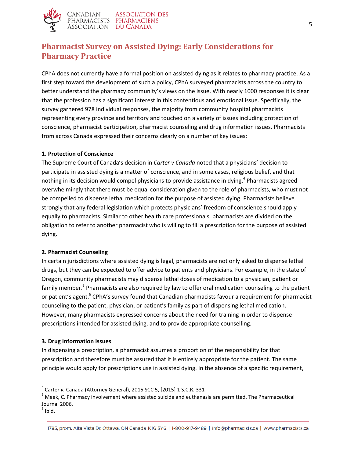

# <span id="page-4-0"></span>**Pharmacist Survey on Assisted Dying: Early Considerations for Pharmacy Practice**

CPhA does not currently have a formal position on assisted dying as it relates to pharmacy practice. As a first step toward the development of such a policy, CPhA surveyed pharmacists across the country to better understand the pharmacy community's views on the issue. With nearly 1000 responses it is clear that the profession has a significant interest in this contentious and emotional issue. Specifically, the survey garnered 978 individual responses, the majority from community hospital pharmacists representing every province and territory and touched on a variety of issues including protection of conscience, pharmacist participation, pharmacist counseling and drug information issues. Pharmacists from across Canada expressed their concerns clearly on a number of key issues:

#### **1. Protection of Conscience**

The Supreme Court of Canada's decision in *Carter v Canada* noted that a physicians' decision to participate in assisted dying is a matter of conscience, and in some cases, religious belief, and that nothing in its decision would compel physicians to provide assistance in dying. 4 Pharmacists agreed overwhelmingly that there must be equal consideration given to the role of pharmacists, who must not be compelled to dispense lethal medication for the purpose of assisted dying. Pharmacists believe strongly that any federal legislation which protects physicians' freedom of conscience should apply equally to pharmacists. Similar to other health care professionals, pharmacists are divided on the obligation to refer to another pharmacist who is willing to fill a prescription for the purpose of assisted dying.

#### **2. Pharmacist Counseling**

In certain jurisdictions where assisted dying is legal, pharmacists are not only asked to dispense lethal drugs, but they can be expected to offer advice to patients and physicians. For example, in the state of Oregon, community pharmacists may dispense lethal doses of medication to a physician, patient or family member.<sup>5</sup> Pharmacists are also required by law to offer oral medication counseling to the patient or patient's agent.<sup>6</sup> CPhA's survey found that Canadian pharmacists favour a requirement for pharmacist counseling to the patient, physician, or patient's family as part of dispensing lethal medication. However, many pharmacists expressed concerns about the need for training in order to dispense prescriptions intended for assisted dying, and to provide appropriate counselling.

#### **3. Drug Information Issues**

In dispensing a prescription, a pharmacist assumes a proportion of the responsibility for that prescription and therefore must be assured that it is entirely appropriate for the patient. The same principle would apply for prescriptions use in assisted dying. In the absence of a specific requirement,

 $<sup>6</sup>$  Ibid.</sup>

 $\overline{a}$ 

<sup>4</sup> Carter *v.* Canada (Attorney General), 2015 SCC 5, [2015] 1 S.C.R. 331

<sup>5</sup> Meek, C. Pharmacy involvement where assisted suicide and euthanasia are permitted. The Pharmaceutical Journal 2006.

<sup>1785,</sup> prom. Alta Vista Dr. Ottawa, ON Canada K1G 3Y6 | 1-800-917-9489 | info@pharmacists.ca | www.pharmacists.ca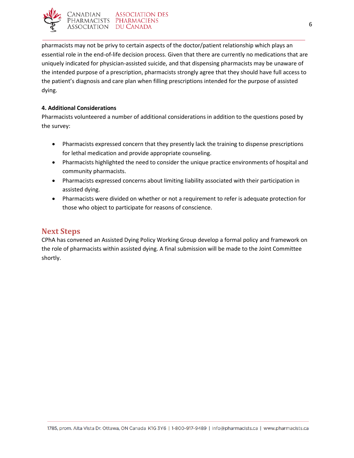

pharmacists may not be privy to certain aspects of the doctor/patient relationship which plays an essential role in the end-of-life decision process. Given that there are currently no medications that are uniquely indicated for physician-assisted suicide, and that dispensing pharmacists may be unaware of the intended purpose of a prescription, pharmacists strongly agree that they should have full access to the patient's diagnosis and care plan when filling prescriptions intended for the purpose of assisted dying.

## **4. Additional Considerations**

Pharmacists volunteered a number of additional considerations in addition to the questions posed by the survey:

- Pharmacists expressed concern that they presently lack the training to dispense prescriptions for lethal medication and provide appropriate counseling.
- Pharmacists highlighted the need to consider the unique practice environments of hospital and community pharmacists.
- Pharmacists expressed concerns about limiting liability associated with their participation in assisted dying.
- Pharmacists were divided on whether or not a requirement to refer is adequate protection for those who object to participate for reasons of conscience.

## <span id="page-5-0"></span>**Next Steps**

CPhA has convened an Assisted Dying Policy Working Group develop a formal policy and framework on the role of pharmacists within assisted dying. A final submission will be made to the Joint Committee shortly.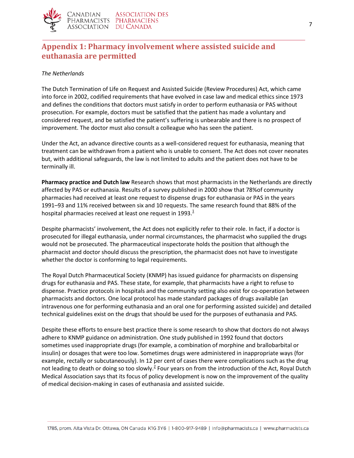

# <span id="page-6-0"></span>**Appendix 1: Pharmacy involvement where assisted suicide and euthanasia are permitted**

## *The Netherlands*

The Dutch Termination of Life on Request and Assisted Suicide (Review Procedures) Act, which came into force in 2002, codified requirements that have evolved in case law and medical ethics since 1973 and defines the conditions that doctors must satisfy in order to perform euthanasia or PAS without prosecution. For example, doctors must be satisfied that the patient has made a voluntary and considered request, and be satisfied the patient's suffering is unbearable and there is no prospect of improvement. The doctor must also consult a colleague who has seen the patient.

Under the Act, an advance directive counts as a well-considered request for euthanasia, meaning that treatment can be withdrawn from a patient who is unable to consent. The Act does not cover neonates but, with additional safeguards, the law is not limited to adults and the patient does not have to be terminally ill.

**Pharmacy practice and Dutch law** Research shows that most pharmacists in the Netherlands are directly affected by PAS or euthanasia. Results of a survey published in 2000 show that 78%of community pharmacies had received at least one request to dispense drugs for euthanasia or PAS in the years 1991–93 and 11% received between six and 10 requests. The same research found that 88% of the hospital pharmacies received at least one request in 1993[.](http://www.pharmaceutical-journal.com/opinion/comment/pharmacy-involvement-where-assisted-suicide-and-euthanasia-are-permitted/10002638.article#ref) $<sup>1</sup>$ </sup>

Despite pharmacists' involvement, the Act does not explicitly refer to their role. In fact, if a doctor is prosecuted for illegal euthanasia, under normal circumstances, the pharmacist who supplied the drugs would not be prosecuted. The pharmaceutical inspectorate holds the position that although the pharmacist and doctor should discuss the prescription, the pharmacist does not have to investigate whether the doctor is conforming to legal requirements.

The Royal Dutch Pharmaceutical Society (KNMP) has issued guidance for pharmacists on dispensing drugs for euthanasia and PAS. These state, for example, that pharmacists have a right to refuse to dispense. Practice protocols in hospitals and the community setting also exist for co-operation between pharmacists and doctors. One local protocol has made standard packages of drugs available (an intravenous one for performing euthanasia and an oral one for performing assisted suicide) and detailed technical guidelines exist on the drugs that should be used for the purposes of euthanasia and PAS.

Despite these efforts to ensure best practice there is some research to show that doctors do not always adhere to KNMP guidance on administration. One study published in 1992 found that doctors sometimes used inappropriate drugs (for example, a combination of morphine and brallobarbital or insulin) or dosages that were too low. Sometimes drugs were administered in inappropriate ways (for example, rectally or subcutaneously). In 12 per cent of cases there were complications such as the drug not leading to death or doing so too slowly.<sup>[2](http://www.pharmaceutical-journal.com/opinion/comment/pharmacy-involvement-where-assisted-suicide-and-euthanasia-are-permitted/10002638.article#ref)</sup> Four years on from the introduction of the Act, Royal Dutch Medical Association says that its focus of policy development is now on the improvement of the quality of medical decision-making in cases of euthanasia and assisted suicide.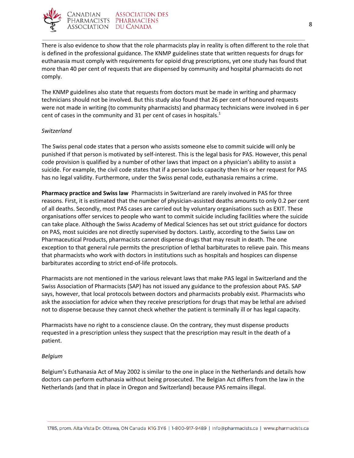

There is also evidence to show that the role pharmacists play in reality is often different to the role that is defined in the professional guidance. The KNMP guidelines state that written requests for drugs for euthanasia must comply with requirements for opioid drug prescriptions, yet one study has found that more than 40 per cent of requests that are dispensed by community and hospital pharmacists do not comply.

The KNMP guidelines also state that requests from doctors must be made in writing and pharmacy technicians should not be involved. But this study also found that 26 per cent of honoured requests were not made in writing (to community pharmacists) and pharmacy technicians were involved in 6 per cent of cases in the community and 31 per cent of cases in hospitals[.](http://www.pharmaceutical-journal.com/opinion/comment/pharmacy-involvement-where-assisted-suicide-and-euthanasia-are-permitted/10002638.article#ref) $<sup>1</sup>$ </sup>

#### *Switzerland*

The Swiss penal code states that a person who assists someone else to commit suicide will only be punished if that person is motivated by self-interest. This is the legal basis for PAS. However, this penal code provision is qualified by a number of other laws that impact on a physician's ability to assist a suicide. For example, the civil code states that if a person lacks capacity then his or her request for PAS has no legal validity. Furthermore, under the Swiss penal code, euthanasia remains a crime.

**Pharmacy practice and Swiss law** Pharmacists in Switzerland are rarely involved in PAS for three reasons. First, it is estimated that the number of physician-assisted deaths amounts to only 0.2 per cent of all deaths. Secondly, most PAS cases are carried out by voluntary organisations such as EXIT. These organisations offer services to people who want to commit suicide including facilities where the suicide can take place. Although the Swiss Academy of Medical Sciences has set out strict guidance for doctors on PAS, most suicides are not directly supervised by doctors. Lastly, according to the Swiss Law on Pharmaceutical Products, pharmacists cannot dispense drugs that may result in death. The one exception to that general rule permits the prescription of lethal barbiturates to relieve pain. This means that pharmacists who work with doctors in institutions such as hospitals and hospices can dispense barbiturates according to strict end-of-life protocols.

Pharmacists are not mentioned in the various relevant laws that make PAS legal in Switzerland and the Swiss Association of Pharmacists (SAP) has not issued any guidance to the profession about PAS. SAP says, however, that local protocols between doctors and pharmacists probably exist. Pharmacists who ask the association for advice when they receive prescriptions for drugs that may be lethal are advised not to dispense because they cannot check whether the patient is terminally ill or has legal capacity.

Pharmacists have no right to a conscience clause. On the contrary, they must dispense products requested in a prescription unless they suspect that the prescription may result in the death of a patient.

#### *Belgium*

Belgium's Euthanasia Act of May 2002 is similar to the one in place in the Netherlands and details how doctors can perform euthanasia without being prosecuted. The Belgian Act differs from the law in the Netherlands (and that in place in Oregon and Switzerland) because PAS remains illegal.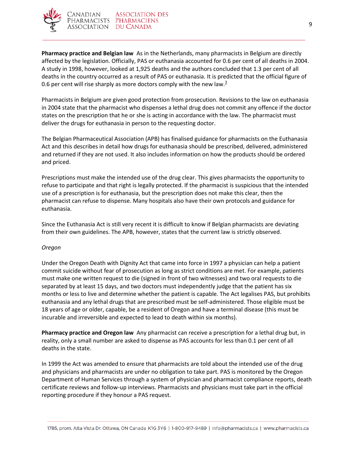

**Pharmacy practice and Belgian law** As in the Netherlands, many pharmacists in Belgium are directly affected by the legislation. Officially, PAS or euthanasia accounted for 0.6 per cent of all deaths in 2004. A study in 1998, however, looked at 1,925 deaths and the authors concluded that 1.3 per cent of all deaths in the country occurred as a result of PAS or euthanasia. It is predicted that the official figure of 0.6 per cent will rise sharply as more doctors comply with the new law. $\frac{3}{2}$  $\frac{3}{2}$  $\frac{3}{2}$ 

Pharmacists in Belgium are given good protection from prosecution. Revisions to the law on euthanasia in 2004 state that the pharmacist who dispenses a lethal drug does not commit any offence if the doctor states on the prescription that he or she is acting in accordance with the law. The pharmacist must deliver the drugs for euthanasia in person to the requesting doctor.

The Belgian Pharmaceutical Association (APB) has finalised guidance for pharmacists on the Euthanasia Act and this describes in detail how drugs for euthanasia should be prescribed, delivered, administered and returned if they are not used. It also includes information on how the products should be ordered and priced.

Prescriptions must make the intended use of the drug clear. This gives pharmacists the opportunity to refuse to participate and that right is legally protected. If the pharmacist is suspicious that the intended use of a prescription is for euthanasia, but the prescription does not make this clear, then the pharmacist can refuse to dispense. Many hospitals also have their own protocols and guidance for euthanasia.

Since the Euthanasia Act is still very recent it is difficult to know if Belgian pharmacists are deviating from their own guidelines. The APB, however, states that the current law is strictly observed.

## *Oregon*

Under the Oregon Death with Dignity Act that came into force in 1997 a physician can help a patient commit suicide without fear of prosecution as long as strict conditions are met. For example, patients must make one written request to die (signed in front of two witnesses) and two oral requests to die separated by at least 15 days, and two doctors must independently judge that the patient has six months or less to live and determine whether the patient is capable. The Act legalises PAS, but prohibits euthanasia and any lethal drugs that are prescribed must be self-administered. Those eligible must be 18 years of age or older, capable, be a resident of Oregon and have a terminal disease (this must be incurable and irreversible and expected to lead to death within six months).

**Pharmacy practice and Oregon law** Any pharmacist can receive a prescription for a lethal drug but, in reality, only a small number are asked to dispense as PAS accounts for less than 0.1 per cent of all deaths in the state.

In 1999 the Act was amended to ensure that pharmacists are told about the intended use of the drug and physicians and pharmacists are under no obligation to take part. PAS is monitored by the Oregon Department of Human Services through a system of physician and pharmacist compliance reports, death certificate reviews and follow-up interviews. Pharmacists and physicians must take part in the official reporting procedure if they honour a PAS request.